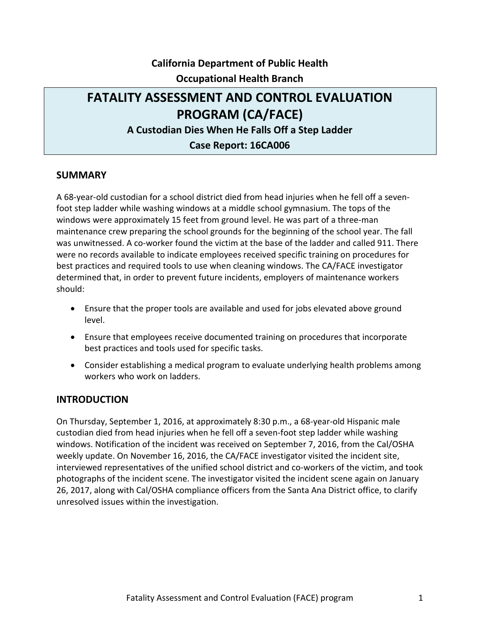## **California Department of Public Health Occupational Health Branch**

# **Case Report: 16CA006 FATALITY ASSESSMENT AND CONTROL EVALUATION PROGRAM (CA/FACE) A Custodian Dies When He Falls Off a Step Ladder**

#### **SUMMARY**

 A 68-year-old custodian for a school district died from head injuries when he fell off a sevenfoot step ladder while washing windows at a middle school gymnasium. The tops of the windows were approximately 15 feet from ground level. He was part of a three-man maintenance crew preparing the school grounds for the beginning of the school year. The fall was unwitnessed. A co-worker found the victim at the base of the ladder and called 911. There were no records available to indicate employees received specific training on procedures for best practices and required tools to use when cleaning windows. The CA/FACE investigator determined that, in order to prevent future incidents, employers of maintenance workers should:

- • Ensure that the proper tools are available and used for jobs elevated above ground level.
- best practices and tools used for specific tasks. • Ensure that employees receive documented training on procedures that incorporate
- Consider establishing a medical program to evaluate underlying health problems among workers who work on ladders.

#### **INTRODUCTION**

 weekly update. On November 16, 2016, the CA/FACE investigator visited the incident site, photographs of the incident scene. The investigator visited the incident scene again on January On Thursday, September 1, 2016, at approximately 8:30 p.m., a 68-year-old Hispanic male custodian died from head injuries when he fell off a seven-foot step ladder while washing windows. Notification of the incident was received on September 7, 2016, from the Cal/OSHA interviewed representatives of the unified school district and co-workers of the victim, and took 26, 2017, along with Cal/OSHA compliance officers from the Santa Ana District office, to clarify unresolved issues within the investigation.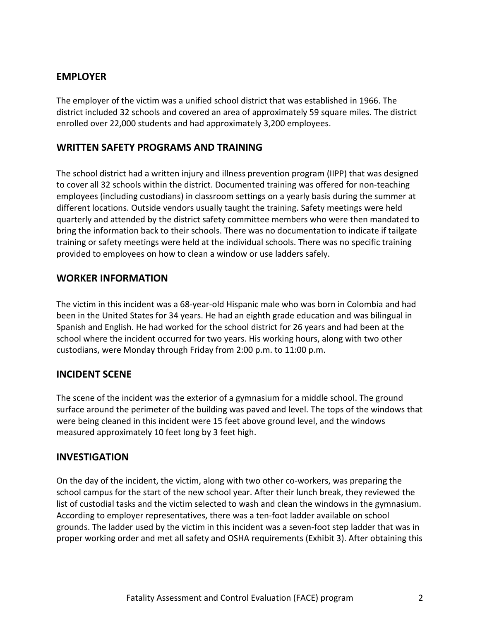### **EMPLOYER**

 enrolled over 22,000 students and had approximately 3,200 employees. The employer of the victim was a unified school district that was established in 1966. The district included 32 schools and covered an area of approximately 59 square miles. The district

### **WRITTEN SAFETY PROGRAMS AND TRAINING**

 The school district had a written injury and illness prevention program (IIPP) that was designed to cover all 32 schools within the district. Documented training was offered for non-teaching employees (including custodians) in classroom settings on a yearly basis during the summer at training or safety meetings were held at the individual schools. There was no specific training different locations. Outside vendors usually taught the training. Safety meetings were held quarterly and attended by the district safety committee members who were then mandated to bring the information back to their schools. There was no documentation to indicate if tailgate provided to employees on how to clean a window or use ladders safely.

#### **WORKER INFORMATION**

 The victim in this incident was a 68-year-old Hispanic male who was born in Colombia and had been in the United States for 34 years. He had an eighth grade education and was bilingual in custodians, were Monday through Friday from 2:00 p.m. to 11:00 p.m. Spanish and English. He had worked for the school district for 26 years and had been at the school where the incident occurred for two years. His working hours, along with two other

### **INCIDENT SCENE**

 were being cleaned in this incident were 15 feet above ground level, and the windows measured approximately 10 feet long by 3 feet high. The scene of the incident was the exterior of a gymnasium for a middle school. The ground surface around the perimeter of the building was paved and level. The tops of the windows that

#### **INVESTIGATION**

On the day of the incident, the victim, along with two other co-workers, was preparing the school campus for the start of the new school year. After their lunch break, they reviewed the list of custodial tasks and the victim selected to wash and clean the windows in the gymnasium. According to employer representatives, there was a ten-foot ladder available on school grounds. The ladder used by the victim in this incident was a seven-foot step ladder that was in proper working order and met all safety and OSHA requirements (Exhibit 3). After obtaining this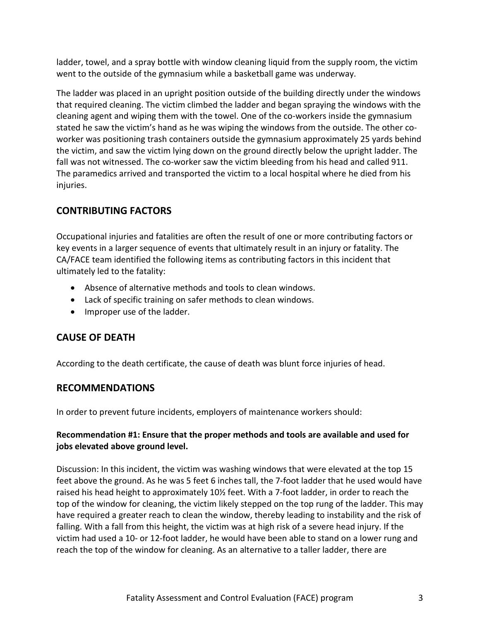ladder, towel, and a spray bottle with window cleaning liquid from the supply room, the victim went to the outside of the gymnasium while a basketball game was underway.

 the victim, and saw the victim lying down on the ground directly below the upright ladder. The fall was not witnessed. The co-worker saw the victim bleeding from his head and called 911. The ladder was placed in an upright position outside of the building directly under the windows that required cleaning. The victim climbed the ladder and began spraying the windows with the cleaning agent and wiping them with the towel. One of the co-workers inside the gymnasium stated he saw the victim's hand as he was wiping the windows from the outside. The other coworker was positioning trash containers outside the gymnasium approximately 25 yards behind The paramedics arrived and transported the victim to a local hospital where he died from his injuries.

## **CONTRIBUTING FACTORS**

 Occupational injuries and fatalities are often the result of one or more contributing factors or key events in a larger sequence of events that ultimately result in an injury or fatality. The CA/FACE team identified the following items as contributing factors in this incident that ultimately led to the fatality:

- Absence of alternative methods and tools to clean windows.
- Lack of specific training on safer methods to clean windows.
- Improper use of the ladder.

### **CAUSE OF DEATH**

According to the death certificate, the cause of death was blunt force injuries of head.

#### **RECOMMENDATIONS**

In order to prevent future incidents, employers of maintenance workers should:

#### **Recommendation #1: Ensure that the proper methods and tools are available and used for jobs elevated above ground level.**

 Discussion: In this incident, the victim was washing windows that were elevated at the top 15 feet above the ground. As he was 5 feet 6 inches tall, the 7-foot ladder that he used would have raised his head height to approximately 10½ feet. With a 7-foot ladder, in order to reach the top of the window for cleaning, the victim likely stepped on the top rung of the ladder. This may victim had used a 10- or 12-foot ladder, he would have been able to stand on a lower rung and have required a greater reach to clean the window, thereby leading to instability and the risk of falling. With a fall from this height, the victim was at high risk of a severe head injury. If the reach the top of the window for cleaning. As an alternative to a taller ladder, there are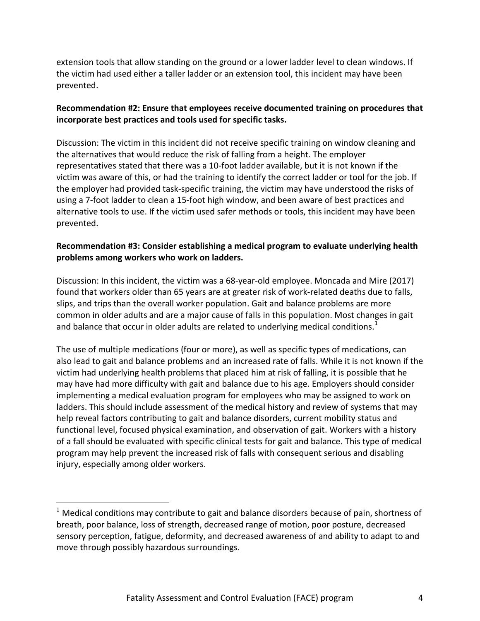the victim had used either a taller ladder or an extension tool, this incident may have been extension tools that allow standing on the ground or a lower ladder level to clean windows. If prevented.

#### **Recommendation #2: Ensure that employees receive documented training on procedures that incorporate best practices and tools used for specific tasks.**

 representatives stated that there was a 10-foot ladder available, but it is not known if the victim was aware of this, or had the training to identify the correct ladder or tool for the job. If the employer had provided task-specific training, the victim may have understood the risks of alternative tools to use. If the victim used safer methods or tools, this incident may have been Discussion: The victim in this incident did not receive specific training on window cleaning and the alternatives that would reduce the risk of falling from a height. The employer using a 7-foot ladder to clean a 15-foot high window, and been aware of best practices and prevented.

#### **problems among workers who work on ladders. Recommendation #3: Consider establishing a medical program to evaluate underlying health**

 slips, and trips than the overall worker population. Gait and balance problems are more common in older adults and are a major cause of falls in this population. Most changes in gait and balance that occur in older adults are related to underlying medical conditions.<sup>[1](#page-3-0)</sup> Discussion: In this incident, the victim was a 68-year-old employee. Moncada and Mire (2017) found that workers older than 65 years are at greater risk of work-related deaths due to falls,

 The use of multiple medications (four or more), as well as specific types of medications, can victim had underlying health problems that placed him at risk of falling, it is possible that he implementing a medical evaluation program for employees who may be assigned to work on help reveal factors contributing to gait and balance disorders, current mobility status and functional level, focused physical examination, and observation of gait. Workers with a history program may help prevent the increased risk of falls with consequent serious and disabling injury, especially among older workers. also lead to gait and balance problems and an increased rate of falls. While it is not known if the may have had more difficulty with gait and balance due to his age. Employers should consider ladders. This should include assessment of the medical history and review of systems that may of a fall should be evaluated with specific clinical tests for gait and balance. This type of medical

 $\overline{\phantom{a}}$ 

<span id="page-3-0"></span> $^1$  Medical conditions may contribute to gait and balance disorders because of pain, shortness of breath, poor balance, loss of strength, decreased range of motion, poor posture, decreased sensory perception, fatigue, deformity, and decreased awareness of and ability to adapt to and move through possibly hazardous surroundings.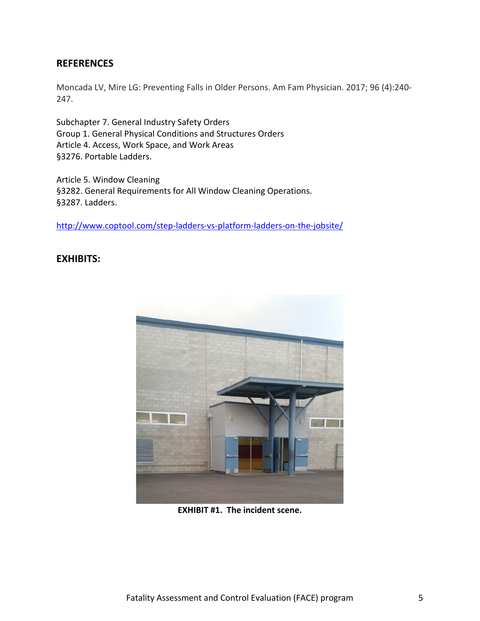#### **REFERENCES**

Moncada LV, Mire LG: Preventing Falls in Older Persons. Am Fam Physician. 2017; 96 (4):240- 247.

Subchapter 7. General Industry Safety Orders Group 1. General Physical Conditions and Structures Orders Article 4. Access, Work Space, and Work Areas §3276. Portable Ladders.

Article 5. Window Cleaning §3282. General Requirements for All Window Cleaning Operations. §3287. Ladders.

<http://www.coptool.com/step-ladders-vs-platform-ladders-on-the-jobsite/>

#### **EXHIBITS:**



 **EXHIBIT #1. The incident scene.**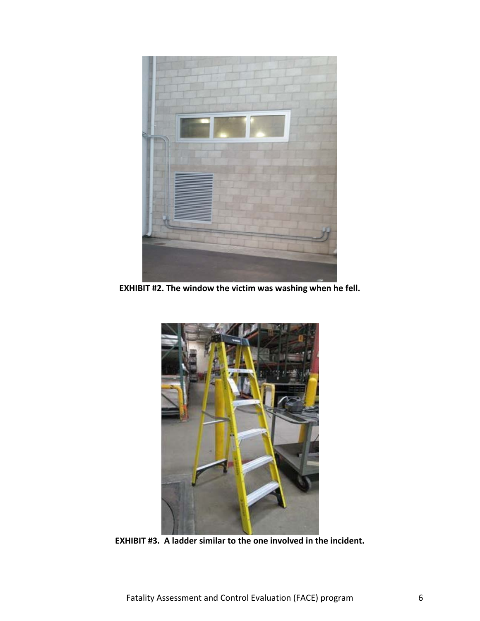

 **EXHIBIT #2. The window the victim was washing when he fell.** 



 **EXHIBIT #3. A ladder similar to the one involved in the incident.**